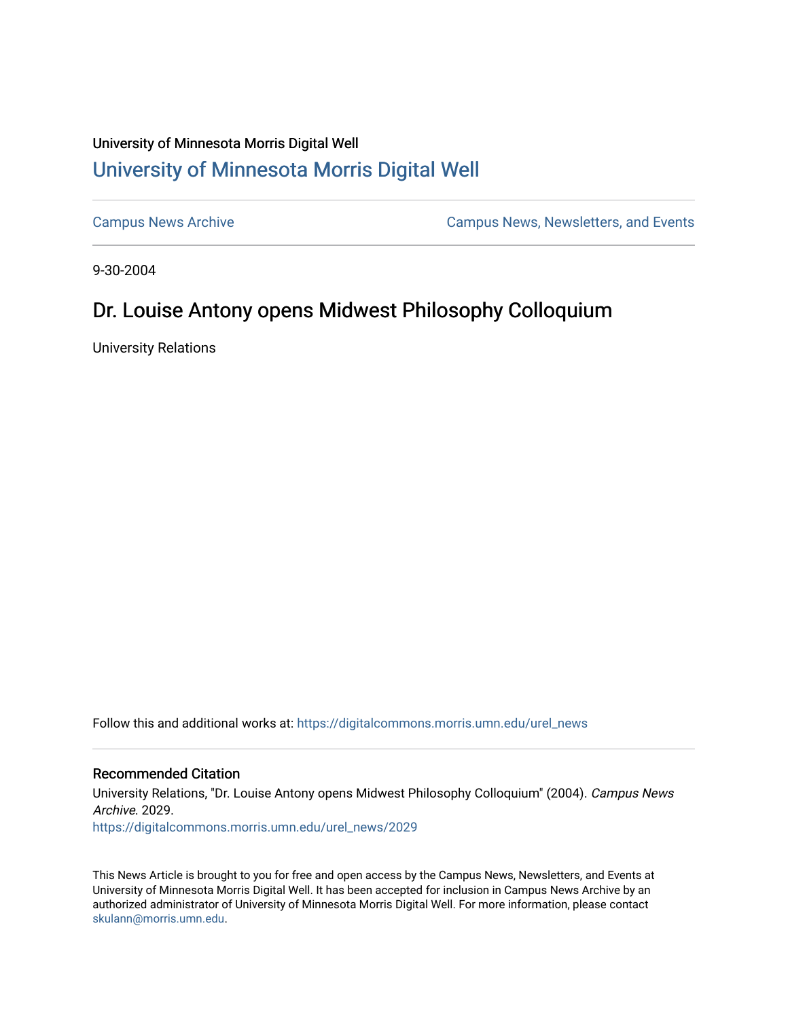## University of Minnesota Morris Digital Well [University of Minnesota Morris Digital Well](https://digitalcommons.morris.umn.edu/)

[Campus News Archive](https://digitalcommons.morris.umn.edu/urel_news) [Campus News, Newsletters, and Events](https://digitalcommons.morris.umn.edu/externalrel) 

9-30-2004

## Dr. Louise Antony opens Midwest Philosophy Colloquium

University Relations

Follow this and additional works at: [https://digitalcommons.morris.umn.edu/urel\\_news](https://digitalcommons.morris.umn.edu/urel_news?utm_source=digitalcommons.morris.umn.edu%2Furel_news%2F2029&utm_medium=PDF&utm_campaign=PDFCoverPages) 

## Recommended Citation

University Relations, "Dr. Louise Antony opens Midwest Philosophy Colloquium" (2004). Campus News Archive. 2029. [https://digitalcommons.morris.umn.edu/urel\\_news/2029](https://digitalcommons.morris.umn.edu/urel_news/2029?utm_source=digitalcommons.morris.umn.edu%2Furel_news%2F2029&utm_medium=PDF&utm_campaign=PDFCoverPages) 

This News Article is brought to you for free and open access by the Campus News, Newsletters, and Events at University of Minnesota Morris Digital Well. It has been accepted for inclusion in Campus News Archive by an authorized administrator of University of Minnesota Morris Digital Well. For more information, please contact [skulann@morris.umn.edu.](mailto:skulann@morris.umn.edu)